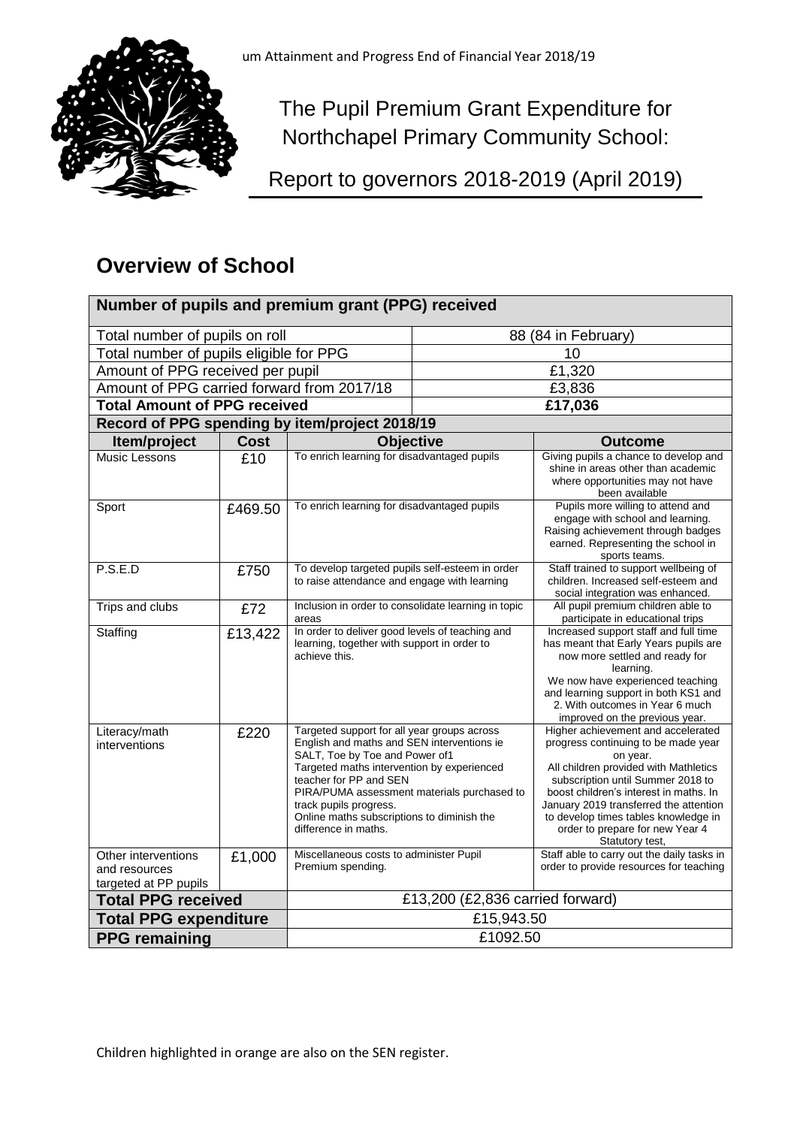

The Pupil Premium Grant Expenditure for Northchapel Primary Community School:

Report to governors 2018-2019 (April 2019)

# **Overview of School**

| Number of pupils and premium grant (PPG) received             |             |                                                                                                                                                                                                                                                                                                                                                    |                     |                                                                                                                                                                                                                                                                                                                                                       |  |  |  |
|---------------------------------------------------------------|-------------|----------------------------------------------------------------------------------------------------------------------------------------------------------------------------------------------------------------------------------------------------------------------------------------------------------------------------------------------------|---------------------|-------------------------------------------------------------------------------------------------------------------------------------------------------------------------------------------------------------------------------------------------------------------------------------------------------------------------------------------------------|--|--|--|
| Total number of pupils on roll                                |             |                                                                                                                                                                                                                                                                                                                                                    | 88 (84 in February) |                                                                                                                                                                                                                                                                                                                                                       |  |  |  |
| Total number of pupils eligible for PPG                       |             |                                                                                                                                                                                                                                                                                                                                                    | 10                  |                                                                                                                                                                                                                                                                                                                                                       |  |  |  |
| Amount of PPG received per pupil                              |             |                                                                                                                                                                                                                                                                                                                                                    | £1,320              |                                                                                                                                                                                                                                                                                                                                                       |  |  |  |
| Amount of PPG carried forward from 2017/18                    |             |                                                                                                                                                                                                                                                                                                                                                    | £3,836              |                                                                                                                                                                                                                                                                                                                                                       |  |  |  |
| <b>Total Amount of PPG received</b>                           |             |                                                                                                                                                                                                                                                                                                                                                    | £17,036             |                                                                                                                                                                                                                                                                                                                                                       |  |  |  |
| Record of PPG spending by item/project 2018/19                |             |                                                                                                                                                                                                                                                                                                                                                    |                     |                                                                                                                                                                                                                                                                                                                                                       |  |  |  |
| Item/project                                                  | <b>Cost</b> | <b>Objective</b>                                                                                                                                                                                                                                                                                                                                   |                     | <b>Outcome</b>                                                                                                                                                                                                                                                                                                                                        |  |  |  |
| Music Lessons                                                 | £10         | To enrich learning for disadvantaged pupils                                                                                                                                                                                                                                                                                                        |                     | Giving pupils a chance to develop and<br>shine in areas other than academic<br>where opportunities may not have<br>been available                                                                                                                                                                                                                     |  |  |  |
| Sport                                                         | £469.50     | To enrich learning for disadvantaged pupils                                                                                                                                                                                                                                                                                                        |                     | Pupils more willing to attend and<br>engage with school and learning.<br>Raising achievement through badges<br>earned. Representing the school in<br>sports teams.                                                                                                                                                                                    |  |  |  |
| P.S.E.D                                                       | £750        | To develop targeted pupils self-esteem in order<br>to raise attendance and engage with learning                                                                                                                                                                                                                                                    |                     | Staff trained to support wellbeing of<br>children. Increased self-esteem and<br>social integration was enhanced.                                                                                                                                                                                                                                      |  |  |  |
| Trips and clubs                                               | £72         | Inclusion in order to consolidate learning in topic<br>areas                                                                                                                                                                                                                                                                                       |                     | All pupil premium children able to<br>participate in educational trips                                                                                                                                                                                                                                                                                |  |  |  |
| Staffing                                                      | £13,422     | In order to deliver good levels of teaching and<br>learning, together with support in order to<br>achieve this.                                                                                                                                                                                                                                    |                     | Increased support staff and full time<br>has meant that Early Years pupils are<br>now more settled and ready for<br>learning.<br>We now have experienced teaching<br>and learning support in both KS1 and<br>2. With outcomes in Year 6 much<br>improved on the previous year.                                                                        |  |  |  |
| Literacy/math<br>interventions                                | £220        | Targeted support for all year groups across<br>English and maths and SEN interventions ie<br>SALT, Toe by Toe and Power of1<br>Targeted maths intervention by experienced<br>teacher for PP and SEN<br>PIRA/PUMA assessment materials purchased to<br>track pupils progress.<br>Online maths subscriptions to diminish the<br>difference in maths. |                     | Higher achievement and accelerated<br>progress continuing to be made year<br>on year.<br>All children provided with Mathletics<br>subscription until Summer 2018 to<br>boost children's interest in maths. In<br>January 2019 transferred the attention<br>to develop times tables knowledge in<br>order to prepare for new Year 4<br>Statutory test, |  |  |  |
| Other interventions<br>and resources<br>targeted at PP pupils | £1,000      | Miscellaneous costs to administer Pupil<br>Premium spending.                                                                                                                                                                                                                                                                                       |                     | Staff able to carry out the daily tasks in<br>order to provide resources for teaching                                                                                                                                                                                                                                                                 |  |  |  |
| <b>Total PPG received</b>                                     |             | £13,200 (£2,836 carried forward)                                                                                                                                                                                                                                                                                                                   |                     |                                                                                                                                                                                                                                                                                                                                                       |  |  |  |
| <b>Total PPG expenditure</b>                                  |             | £15,943.50                                                                                                                                                                                                                                                                                                                                         |                     |                                                                                                                                                                                                                                                                                                                                                       |  |  |  |
| <b>PPG remaining</b>                                          |             | £1092.50                                                                                                                                                                                                                                                                                                                                           |                     |                                                                                                                                                                                                                                                                                                                                                       |  |  |  |

Children highlighted in orange are also on the SEN register.